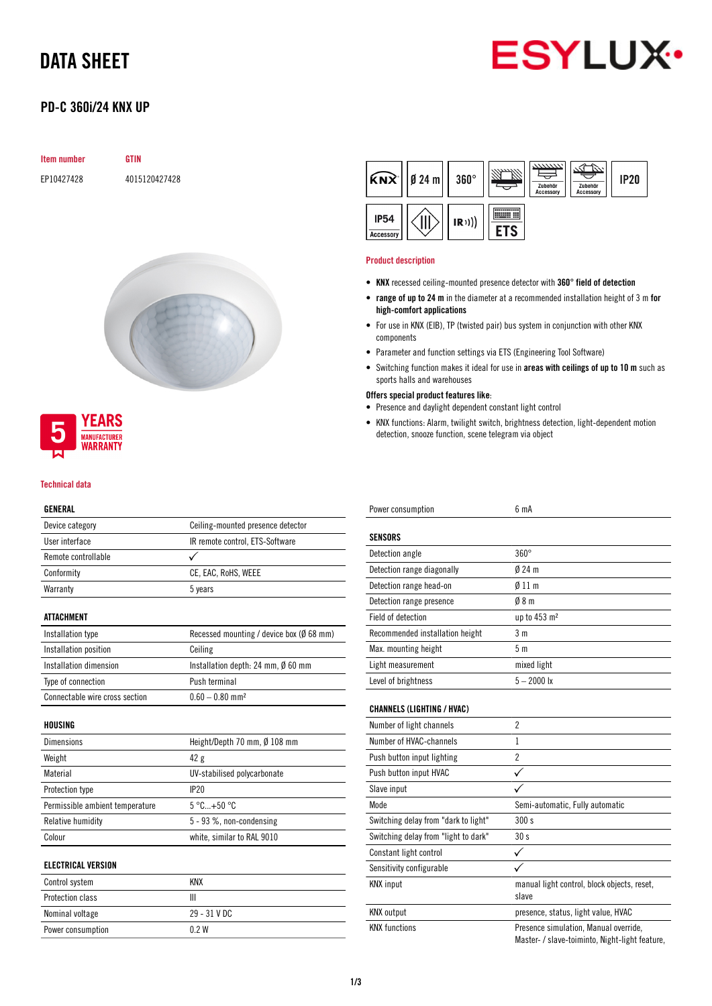# DATA SHEET



## PD-C 360i/24 KNX UP

| Item number | GTIN          |
|-------------|---------------|
| EP10427428  | 4015120427428 |





### Technical data

### GENERAL

| Ceiling-mounted presence detector<br>IR remote control, ETS-Software |
|----------------------------------------------------------------------|
|                                                                      |
|                                                                      |
|                                                                      |
| CE, EAC, RoHS, WEEE                                                  |
| 5 years                                                              |
|                                                                      |
| Recessed mounting / device box (Ø 68 mm)                             |
| Ceiling                                                              |
| Installation depth: 24 mm, Ø 60 mm                                   |
| Push terminal                                                        |
| $0.60 - 0.80$ mm <sup>2</sup>                                        |
|                                                                      |
| Height/Depth 70 mm, Ø 108 mm                                         |
| 42 g                                                                 |
| UV-stabilised polycarbonate                                          |
| IP20                                                                 |
| $5^{\circ}$ C+50 $^{\circ}$ C                                        |
| $5 - 93$ %, non-condensing                                           |
| white, similar to RAL 9010                                           |
|                                                                      |
|                                                                      |
|                                                                      |

| Control system    | KNX            |
|-------------------|----------------|
| Protection class  | Ш              |
| Nominal voltage   | $29 - 31$ V DC |
| Power consumption | 02W            |
|                   |                |



#### Product description

- KNX recessed ceiling-mounted presence detector with 360° field of detection
- range of up to 24 m in the diameter at a recommended installation height of 3 m for high-comfort applications
- For use in KNX (EIB), TP (twisted pair) bus system in conjunction with other KNX components
- Parameter and function settings via ETS (Engineering Tool Software)
- Switching function makes it ideal for use in areas with ceilings of up to 10 m such as sports halls and warehouses
- Offers special product features like:
- Presence and daylight dependent constant light control
- KNX functions: Alarm, twilight switch, brightness detection, light-dependent motion detection, snooze function, scene telegram via object

| Power consumption                    | 6 mA                                                                                    |
|--------------------------------------|-----------------------------------------------------------------------------------------|
| SENSORS                              |                                                                                         |
| Detection angle                      | $360^\circ$                                                                             |
| Detection range diagonally           | $024 \text{ m}$                                                                         |
|                                      |                                                                                         |
| Detection range head-on              | $\emptyset$ 11 m                                                                        |
| Detection range presence             | $0/8$ m                                                                                 |
| <b>Field of detection</b>            | up to 453 m <sup>2</sup>                                                                |
| Recommended installation height      | 3 <sub>m</sub>                                                                          |
| Max. mounting height                 | 5 <sub>m</sub>                                                                          |
| Light measurement                    | mixed light                                                                             |
| Level of brightness                  | $5 - 2000$ lx                                                                           |
| <b>CHANNELS (LIGHTING / HVAC)</b>    |                                                                                         |
| Number of light channels             | $\overline{2}$                                                                          |
| Number of HVAC-channels              | 1                                                                                       |
| Push button input lighting           | $\overline{2}$                                                                          |
| Push button input HVAC               | ✓                                                                                       |
| Slave input                          |                                                                                         |
| Mode                                 | Semi-automatic, Fully automatic                                                         |
| Switching delay from "dark to light" | 300 s                                                                                   |
| Switching delay from "light to dark" | 30 <sub>s</sub>                                                                         |
| Constant light control               |                                                                                         |
| Sensitivity configurable             |                                                                                         |
| <b>KNX</b> input                     | manual light control, block objects, reset,<br>slave                                    |
| <b>KNX</b> output                    | presence, status, light value, HVAC                                                     |
| <b>KNX functions</b>                 | Presence simulation, Manual override,<br>Master- / slave-toiminto, Night-light feature, |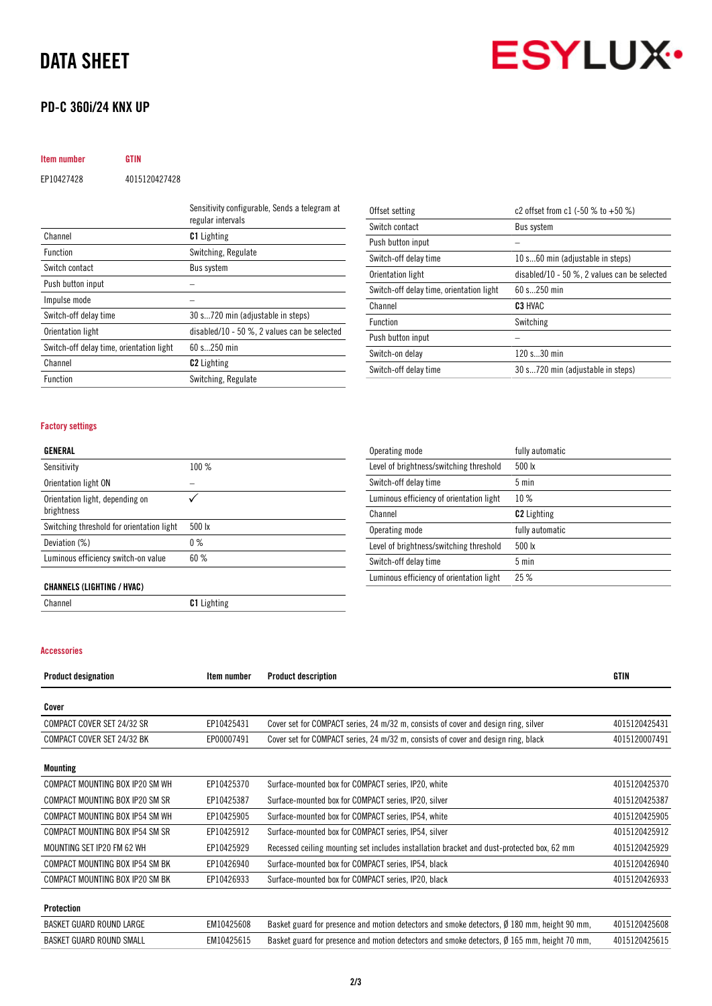# DATA SHEET

## PD-C 360i/24 KNX UP

# **ESYLUX**

# Item number GTIN EP10427428 4015120427428

|                                          | Sensitivity configurable, Sends a telegram at<br>regular intervals |
|------------------------------------------|--------------------------------------------------------------------|
| Channel                                  | <b>C1</b> Lighting                                                 |
| <b>Function</b>                          | Switching, Regulate                                                |
| Switch contact                           | <b>Bus system</b>                                                  |
| Push button input                        |                                                                    |
| Impulse mode                             |                                                                    |
| Switch-off delay time                    | 30 s720 min (adjustable in steps)                                  |
| Orientation light                        | disabled/10 - 50 $\%$ , 2 values can be selected                   |
| Switch-off delay time, orientation light | 60 s 250 min                                                       |
| Channel                                  | <b>C2</b> Lighting                                                 |
| <b>Function</b>                          | Switching, Regulate                                                |

| Offset setting                           | c2 offset from c1 $(-50 % 0 + 50 % )$            |
|------------------------------------------|--------------------------------------------------|
| Switch contact                           | Bus system                                       |
| Push button input                        |                                                  |
| Switch-off delay time                    | 10 s60 min (adjustable in steps)                 |
| Orientation light                        | disabled/10 - 50 $\%$ , 2 values can be selected |
| Switch-off delay time, orientation light | $60 s$ 250 min                                   |
| Channel                                  | C <sub>3</sub> HVAC                              |
| <b>Function</b>                          | Switching                                        |
| Push button input                        |                                                  |
| Switch-on delay                          | 120 s30 min                                      |
| Switch-off delay time                    | 30 s720 min (adjustable in steps)                |

### Factory settings

### GENERAL

| Sensitivity                                   | 100%             |
|-----------------------------------------------|------------------|
| Orientation light ON                          |                  |
| Orientation light, depending on<br>brightness |                  |
| Switching threshold for orientation light     | $500 \text{ lx}$ |
| Deviation (%)                                 | $0\%$            |
| Luminous efficiency switch-on value           | 60%              |

| Operating mode                           | fully automatic    |
|------------------------------------------|--------------------|
| Level of brightness/switching threshold  | 500 lx             |
| Switch-off delay time                    | $5 \text{ min}$    |
| Luminous efficiency of orientation light | 10%                |
| Channel                                  | <b>C2</b> Lighting |
| Operating mode                           | fully automatic    |
| Level of brightness/switching threshold  | 500 lx             |
| Switch-off delay time                    | 5 min              |
| Luminous efficiency of orientation light | 25%                |

### CHANNELS (LIGHTING / HVAC)

Channel Channel C1 Lighting

### Accessories

| <b>Product designation</b>      | Item number | <b>Product description</b>                                                                              | GTIN          |
|---------------------------------|-------------|---------------------------------------------------------------------------------------------------------|---------------|
|                                 |             |                                                                                                         |               |
| Cover                           |             |                                                                                                         |               |
| COMPACT COVER SET 24/32 SR      | EP10425431  | Cover set for COMPACT series, 24 m/32 m, consists of cover and design ring, silver                      | 4015120425431 |
| COMPACT COVER SET 24/32 BK      | EP00007491  | Cover set for COMPACT series, 24 m/32 m, consists of cover and design ring, black                       | 4015120007491 |
| Mounting                        |             |                                                                                                         |               |
| COMPACT MOUNTING BOX IP20 SM WH | EP10425370  | Surface-mounted box for COMPACT series, IP20, white                                                     | 4015120425370 |
| COMPACT MOUNTING BOX IP20 SM SR | EP10425387  | Surface-mounted box for COMPACT series, IP20, silver                                                    | 4015120425387 |
| COMPACT MOUNTING BOX IP54 SM WH | EP10425905  | Surface-mounted box for COMPACT series, IP54, white                                                     | 4015120425905 |
| COMPACT MOUNTING BOX IP54 SM SR | EP10425912  | Surface-mounted box for COMPACT series, IP54, silver                                                    | 4015120425912 |
| MOUNTING SET IP20 FM 62 WH      | EP10425929  | Recessed ceiling mounting set includes installation bracket and dust-protected box, 62 mm               | 4015120425929 |
| COMPACT MOUNTING BOX IP54 SM BK | EP10426940  | Surface-mounted box for COMPACT series, IP54, black                                                     | 4015120426940 |
| COMPACT MOUNTING BOX IP20 SM BK | EP10426933  | Surface-mounted box for COMPACT series, IP20, black                                                     | 4015120426933 |
| Protection                      |             |                                                                                                         |               |
| BASKET GUARD ROUND LARGE        | EM10425608  | Basket guard for presence and motion detectors and smoke detectors, $\varnothing$ 180 mm, height 90 mm, | 4015120425608 |
| <b>BASKET GUARD ROUND SMALL</b> | EM10425615  | Basket guard for presence and motion detectors and smoke detectors, $\emptyset$ 165 mm, height 70 mm,   | 4015120425615 |